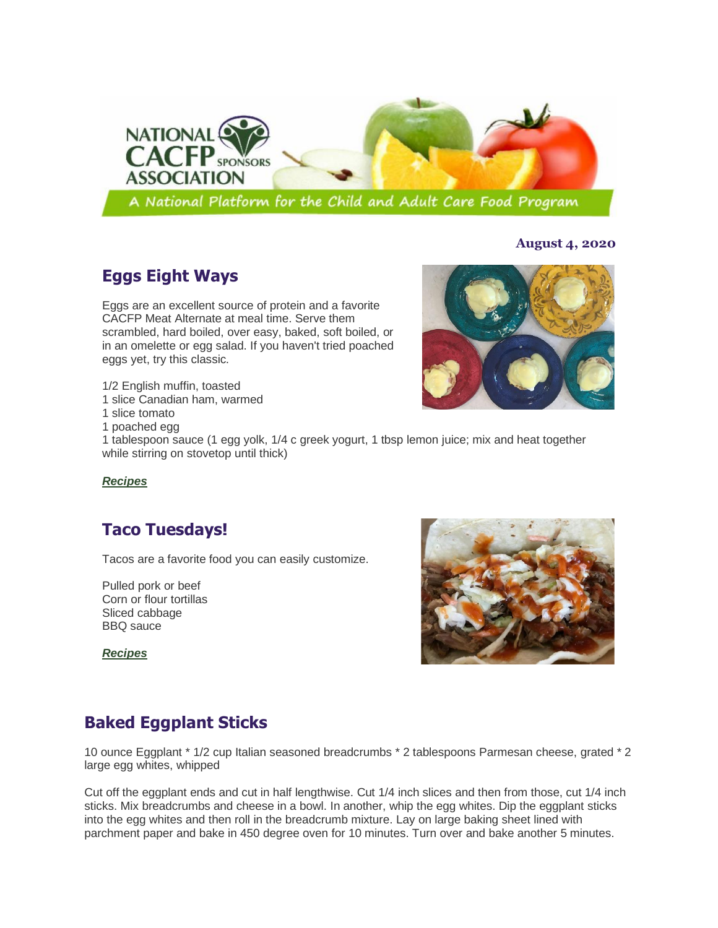

# **Eggs Eight Ways**

Eggs are an excellent source of protein and a favorite CACFP Meat Alternate at meal time. Serve them scrambled, hard boiled, over easy, baked, soft boiled, or in an omelette or egg salad. If you haven't tried poached eggs yet, try this classic.

- 1/2 English muffin, toasted
- 1 slice Canadian ham, warmed
- 1 slice tomato
- 1 poached egg

1 tablespoon sauce (1 egg yolk, 1/4 c greek yogurt, 1 tbsp lemon juice; mix and heat together while stirring on stovetop until thick)

#### *[Recipes](https://gcc02.safelinks.protection.outlook.com/?url=http%3A%2F%2Fr20.rs6.net%2Ftn.jsp%3Ff%3D001Hp02MNIOS1m_a0TKNA-cxh_uFYMco_OesAz1f9v6dvu4JtEFoKRBB5iyYYk2jCXUCVhh0i1G-4-84Q2qrwmuFpm0QS1Uk1kP6JPkJNMmY4p0M4fAkObE2L0qDY5nKOpJZuXypVE8tdxRXANBMxNZmGK-WNAc5S8IXNQR16RxCIHYYNmQu2yepssCfgolYUDI1qBH0R3wTh1AgSBvlefPnA%3D%3D%26c%3DtQ9yt9j-8kj4TxWSb8dz5gEuJym-4cb05rmTeLB_rku2jFRN80Jx9Q%3D%3D%26ch%3D5ZPcfMWkDxUo9o6kk1CfqNH8SjmDyHOgQkifUzApQtquHi-E9nh3yg%3D%3D&data=02%7C01%7Cmarla.kurtenbach%40nebraska.gov%7C71a4d6c4f79e419bafbc08d838850ffe%7C043207dfe6894bf6902001038f11f0b1%7C0%7C0%7C637321493145614292&sdata=alfIi0anYgmE7QMgIuAm4s43NVxVTh4EuOeRG3mxoCY%3D&reserved=0)*

#### **Taco Tuesdays!**

Tacos are a favorite food you can easily customize.

Pulled pork or beef Corn or flour tortillas Sliced cabbage BBQ sauce

*[Recipes](https://gcc02.safelinks.protection.outlook.com/?url=http%3A%2F%2Fr20.rs6.net%2Ftn.jsp%3Ff%3D001JPG53LQ_T5EGd0loehDQOdr9OGtE9_s2lXApE6svv14poEjb9Vz9wjuokUb7j070A-fxxwMTj1W53U11OFFdr90LsGFxCBdsBVJOjWdkN2V-HdCVfWjkbM16KLnwEHvADxGhhlHA4_BcuOT_SxEeWSP7uG5sUP6xBC_Px-AJQhv7MZYhCQ-rJS5SeY8Ltabwrq9n1EmWsZLefUDLwYx21w%3D%3D%26c%3D61Ql6xrBEvuMBEr-fr8b3aQFExZXCZQAU2XuTim7tjpXYFVwLGbO6g%3D%3D%26ch%3DSKbKhYE0Am3LhLXjBBStOMcC7TQ6oAVqyyDgYxDhUAumqcJK9tK2kA%3D%3D&data=02%7C01%7Cmarla.kurtenbach%40nebraska.gov%7C0b86b27d0d5d40baf1c908d8228da1c6%7C043207dfe6894bf6902001038f11f0b1%7C0%7C0%7C637297338985299639&sdata=Ln0hJXFhvuNhuK845fAmojo7lqgH490qjZW2VDxIncA%3D&reserved=0)*



### **Baked Eggplant Sticks**

10 ounce Eggplant \* 1/2 cup Italian seasoned breadcrumbs \* 2 tablespoons Parmesan cheese, grated \* 2 large egg whites, whipped

Cut off the eggplant ends and cut in half lengthwise. Cut 1/4 inch slices and then from those, cut 1/4 inch sticks. Mix breadcrumbs and cheese in a bowl. In another, whip the egg whites. Dip the eggplant sticks into the egg whites and then roll in the breadcrumb mixture. Lay on large baking sheet lined with parchment paper and bake in 450 degree oven for 10 minutes. Turn over and bake another 5 minutes.

#### **August 4, 2020**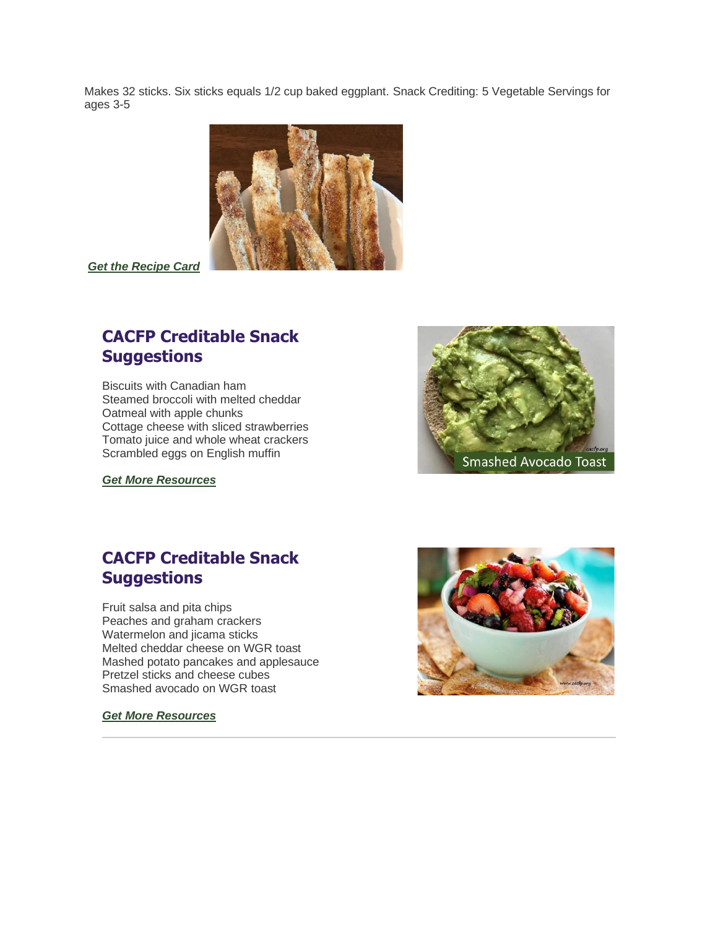Makes 32 sticks. Six sticks equals 1/2 cup baked eggplant. Snack Crediting: 5 Vegetable Servings for ages 3-5



*[Get the Recipe Card](https://gcc02.safelinks.protection.outlook.com/?url=http%3A%2F%2Fr20.rs6.net%2Ftn.jsp%3Ff%3D001vxdODh2RYuI6dvoJ4u2sKvoagBs3pVR1akaC2jSIE9Ml4tooRIU8jKWbBsBZhyvkalPaTQSWDAtNkTfwrdakPfrZ8FRFWRVD1-Hick47tT55xBghzd6L9J8qNcrzNqSjoJASV6jMSqS2jZ09PfdKROYR7bI1nFYXHhCECrxwssTKY_QIRoqDF-AIZkKA_rer0VUxWPvZ_UfhIuSfSDLzDAJWo95mP2WZnoZCz04vylqMzD7Q3HcKQOxidcSUwu9tu1-erCEuPpYqA9qm8ELtBUs-rjzcz_fA%26c%3DFrNbtzNnC_elfauQatT1HUdI34wgGNGR1YAoVh5h3QRCzjbB87L5Pw%3D%3D%26ch%3D_MS6_lhp4hdlVdMJArsJxcBIXBwn7faYWoX7STysWFrYcN9T4SBCpQ%3D%3D&data=02%7C01%7CMarla.Kurtenbach%40nebraska.gov%7C0160bbbd596245f4713708d81d05a7dc%7C043207dfe6894bf6902001038f11f0b1%7C0%7C0%7C637291257416178581&sdata=9o1akbnh2ZChKGKzqMZjple3hCKoXoo6r%2BDo64KhUVE%3D&reserved=0)*

# **CACFP Creditable Snack Suggestions**

Biscuits with Canadian ham Steamed broccoli with melted cheddar Oatmeal with apple chunks Cottage cheese with sliced strawberries Tomato juice and whole wheat crackers Scrambled eggs on English muffin

*[Get More Resources](https://gcc02.safelinks.protection.outlook.com/?url=http%3A%2F%2Fr20.rs6.net%2Ftn.jsp%3Ff%3D001VJn-lg-RWfnYSks0S9nC1RmfeDyNQNEhMuUpMlFanYj5lBPA8aKhYB34WfQOr2AZn_iwaNo2YJgsYe-l4IaMTHG2QAjt9Hz_kxvpYwQqN_1QdI_bs9cYlvy1eOBAopjp6eH3yrVmIlK9uRYVJ5IFY7hDujClWobwAKlKBmWuLfIwo4MgGl8IRUUqLzGxin55m5ec1YUJVnTsjHqnzPe81mQ1hTnWRQ10%26c%3DxMN_MCYexZm54YRwkt-tDE-30SXoydy1SXWFqyRhkjA8v6zA5AW31g%3D%3D%26ch%3Dy7pOZAG2xCxmT_RQJ4kOh5cwaBeX-dp2dppId7pWKqX5ZX-aS8m5Yw%3D%3D&data=02%7C01%7CMarla.Kurtenbach%40nebraska.gov%7C9889bb3b433a482b90e008d801777117%7C043207dfe6894bf6902001038f11f0b1%7C0%7C0%7C637260959820871340&sdata=KYFOjUXJfci3yqT3ua2T9fHdzZQkd4pN7tW1jAhN78c%3D&reserved=0)*



#### **CACFP Creditable Snack Suggestions**

Fruit salsa and pita chips Peaches and graham crackers Watermelon and jicama sticks Melted cheddar cheese on WGR toast Mashed potato pancakes and applesauce Pretzel sticks and cheese cubes Smashed avocado on WGR toast

#### *[Get More Resources](https://gcc02.safelinks.protection.outlook.com/?url=http%3A%2F%2Fr20.rs6.net%2Ftn.jsp%3Ff%3D001XHzmKkmn591o34Kg0olw-gqz6xCseiYBSbvgjnbQblcboA8-rKOhWSVayJo6ksjWpW9i3MXQIUWM4Mo7PkfNJlld70XRvDDKkIXwcWr7Er7tjpCLb6QywXpfUQp-075Ff28N63y_inBlyBd-WGYrSDWJNbZqCbs01cIEWxN3RLqBpqxn58wVEBU1YWVbtLx799vdL8LCzmIPlzdNLX4kocWZwosQOFpw%26c%3DJlo85ag5o18Zd6-CNGNUT43VfbPBwZ3_sCVC636iqJ53BjMk2IhgTA%3D%3D%26ch%3DCt18cuKd7vCML5VJnFXnJ4ynzuZiO1WYGZsw0BpcKrQOYdhqnaIo3A%3D%3D&data=02%7C01%7CMarla.Kurtenbach%40nebraska.gov%7C5e52908d981149ba46e608d7eb9278e1%7C043207dfe6894bf6902001038f11f0b1%7C0%7C0%7C637236886637697699&sdata=l0wR2LCpr6kwkL8zwgN%2FTeTxqVSsWcJjwZd8cR0R650%3D&reserved=0)*